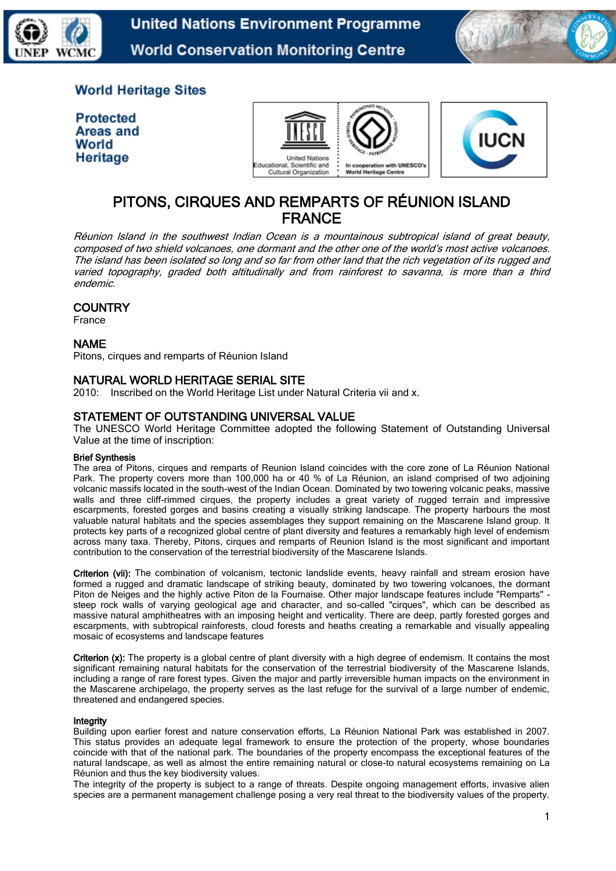



# **World Heritage Sites**

**Protected Areas and** World Heritage





# PITONS, CIRQUES AND REMPARTS OF RÉUNION ISLAND FRANCE

Réunion Island in the southwest Indian Ocean is a mountainous subtropical island of great beauty, composed of two shield volcanoes, one dormant and the other one of the world's most active volcanoes. The island has been isolated so long and so far from other land that the rich vegetation of its rugged and varied topography, graded both altitudinally and from rainforest to savanna, is more than a third endemic.

### **COUNTRY**

France

### NAME

Pitons, cirques and remparts of Réunion Island

### NATURAL WORLD HERITAGE SERIAL SITE

2010: Inscribed on the World Heritage List under Natural Criteria vii and x.

### STATEMENT OF OUTSTANDING UNIVERSAL VALUE

The UNESCO World Heritage Committee adopted the following Statement of Outstanding Universal Value at the time of inscription:

#### Brief Synthesis

The area of Pitons, cirques and remparts of Reunion Island coincides with the core zone of La Réunion National Park. The property covers more than 100,000 ha or 40 % of La Réunion, an island comprised of two adjoining volcanic massifs located in the south-west of the Indian Ocean. Dominated by two towering volcanic peaks, massive walls and three cliff-rimmed cirques, the property includes a great variety of rugged terrain and impressive escarpments, forested gorges and basins creating a visually striking landscape. The property harbours the most valuable natural habitats and the species assemblages they support remaining on the Mascarene Island group. It protects key parts of a recognized global centre of plant diversity and features a remarkably high level of endemism across many taxa. Thereby, Pitons, cirques and remparts of Reunion Island is the most significant and important contribution to the conservation of the terrestrial biodiversity of the Mascarene Islands.

Criterion (vii): The combination of volcanism, tectonic landslide events, heavy rainfall and stream erosion have formed a rugged and dramatic landscape of striking beauty, dominated by two towering volcanoes, the dormant Piton de Neiges and the highly active Piton de la Fournaise. Other major landscape features include "Remparts" steep rock walls of varying geological age and character, and so-called "cirques", which can be described as massive natural amphitheatres with an imposing height and verticality. There are deep, partly forested gorges and escarpments, with subtropical rainforests, cloud forests and heaths creating a remarkable and visually appealing mosaic of ecosystems and landscape features

Criterion (x): The property is a global centre of plant diversity with a high degree of endemism. It contains the most significant remaining natural habitats for the conservation of the terrestrial biodiversity of the Mascarene Islands, including a range of rare forest types. Given the major and partly irreversible human impacts on the environment in the Mascarene archipelago, the property serves as the last refuge for the survival of a large number of endemic, threatened and endangered species.

#### Integrity

Building upon earlier forest and nature conservation efforts, La Réunion National Park was established in 2007. This status provides an adequate legal framework to ensure the protection of the property, whose boundaries coincide with that of the national park. The boundaries of the property encompass the exceptional features of the natural landscape, as well as almost the entire remaining natural or close-to natural ecosystems remaining on La Réunion and thus the key biodiversity values.

The integrity of the property is subject to a range of threats. Despite ongoing management efforts, invasive alien species are a permanent management challenge posing a very real threat to the biodiversity values of the property.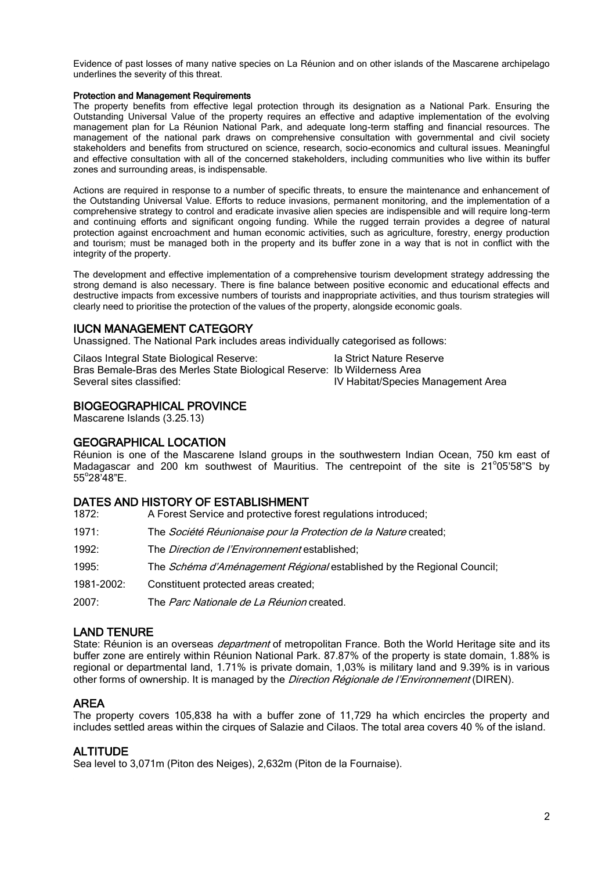Evidence of past losses of many native species on La Réunion and on other islands of the Mascarene archipelago underlines the severity of this threat.

#### Protection and Management Requirements

The property benefits from effective legal protection through its designation as a National Park. Ensuring the Outstanding Universal Value of the property requires an effective and adaptive implementation of the evolving management plan for La Réunion National Park, and adequate long-term staffing and financial resources. The management of the national park draws on comprehensive consultation with governmental and civil society stakeholders and benefits from structured on science, research, socio-economics and cultural issues. Meaningful and effective consultation with all of the concerned stakeholders, including communities who live within its buffer zones and surrounding areas, is indispensable.

Actions are required in response to a number of specific threats, to ensure the maintenance and enhancement of the Outstanding Universal Value. Efforts to reduce invasions, permanent monitoring, and the implementation of a comprehensive strategy to control and eradicate invasive alien species are indispensible and will require long-term and continuing efforts and significant ongoing funding. While the rugged terrain provides a degree of natural protection against encroachment and human economic activities, such as agriculture, forestry, energy production and tourism; must be managed both in the property and its buffer zone in a way that is not in conflict with the integrity of the property.

The development and effective implementation of a comprehensive tourism development strategy addressing the strong demand is also necessary. There is fine balance between positive economic and educational effects and destructive impacts from excessive numbers of tourists and inappropriate activities, and thus tourism strategies will clearly need to prioritise the protection of the values of the property, alongside economic goals.

#### IUCN MANAGEMENT CATEGORY

Unassigned. The National Park includes areas individually categorised as follows:

Cilaos Integral State Biological Reserve: Ia Strict Nature Reserve Bras Bemale-Bras des Merles State Biological Reserve: Ib Wilderness Area<br>Several sites classified: [Iv Habitat/Species] IV Habitat/Species Management Area

### BIOGEOGRAPHICAL PROVINCE

Mascarene Islands (3.25.13)

#### GEOGRAPHICAL LOCATION

Réunion is one of the Mascarene Island groups in the southwestern Indian Ocean, 750 km east of Madagascar and 200 km southwest of Mauritius. The centrepoint of the site is 21°05'58"S by 55°28<sup>;</sup>48"E.

#### DATES AND HISTORY OF ESTABLISHMENT

| 1872:      | A Forest Service and protective forest regulations introduced;                |
|------------|-------------------------------------------------------------------------------|
| 1971:      | The Société Réunionaise pour la Protection de la Nature created;              |
| 1992:      | The <i>Direction de l'Environnement</i> established;                          |
| 1995:      | The <i>Schéma d'Aménagement Régional</i> established by the Regional Council; |
| 1981-2002: | Constituent protected areas created;                                          |
| 2007:      | The Parc Nationale de La Réunion created.                                     |
|            |                                                                               |

#### LAND TENURE

State: Réunion is an overseas *department* of metropolitan France. Both the World Heritage site and its buffer zone are entirely within Réunion National Park. 87.87% of the property is state domain, 1.88% is regional or departmental land, 1.71% is private domain, 1,03% is military land and 9.39% is in various other forms of ownership. It is managed by the *Direction Régionale de l'Environnement* (DIREN).

#### AREA

The property covers 105,838 ha with a buffer zone of 11,729 ha which encircles the property and includes settled areas within the cirques of Salazie and Cilaos. The total area covers 40 % of the island.

#### **ALTITUDE**

Sea level to 3,071m (Piton des Neiges), 2,632m (Piton de la Fournaise).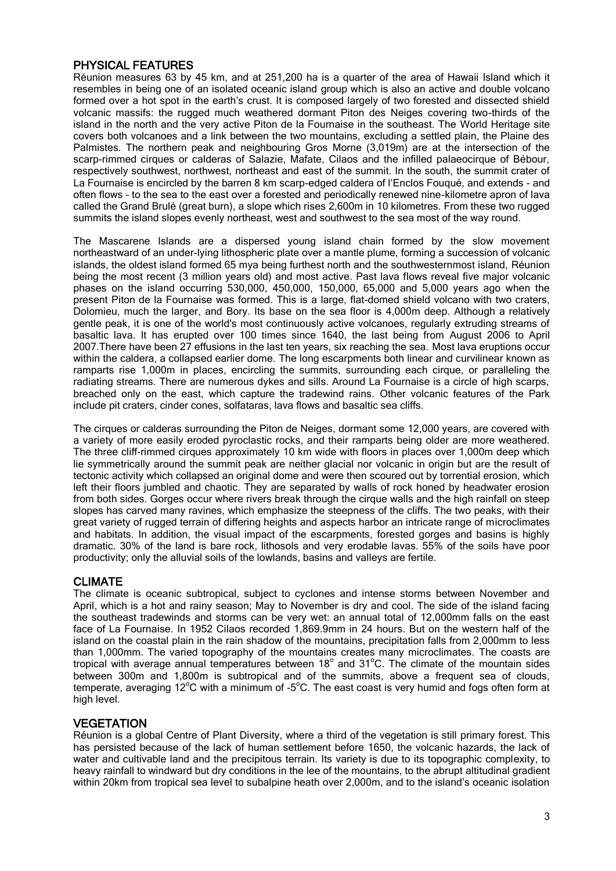# PHYSICAL FEATURES

Réunion measures 63 by 45 km, and at 251,200 ha is a quarter of the area of Hawaii Island which it resembles in being one of an isolated oceanic island group which is also an active and double volcano formed over a hot spot in the earth's crust. It is composed largely of two forested and dissected shield volcanic massifs: the rugged much weathered dormant Piton des Neiges covering two-thirds of the island in the north and the very active Piton de la Fournaise in the southeast. The World Heritage site covers both volcanoes and a link between the two mountains, excluding a settled plain, the Plaine des Palmistes. The northern peak and neighbouring Gros Morne (3,019m) are at the intersection of the scarp-rimmed cirques or calderas of Salazie, Mafate, Cilaos and the infilled palaeocirque of Bébour, respectively southwest, northwest, northeast and east of the summit. In the south, the summit crater of La Fournaise is encircled by the barren 8 km scarp-edged caldera of l'Enclos Fouqué, and extends - and often flows – to the sea to the east over a forested and periodically renewed nine-kilometre apron of lava called the Grand Brulé (great burn), a slope which rises 2,600m in 10 kilometres. From these two rugged summits the island slopes evenly northeast, west and southwest to the sea most of the way round.

The Mascarene Islands are a dispersed young island chain formed by the slow movement northeastward of an under-lying lithospheric plate over a mantle plume, forming a succession of volcanic islands, the oldest island formed 65 mya being furthest north and the southwesternmost island, Réunion being the most recent (3 million years old) and most active. Past lava flows reveal five major volcanic phases on the island occurring 530,000, 450,000, 150,000, 65,000 and 5,000 years ago when the present Piton de la Fournaise was formed. This is a large, flat-domed shield volcano with two craters, Dolomieu, much the larger, and Bory. Its base on the sea floor is 4,000m deep. Although a relatively gentle peak, it is one of the world's most continuously active volcanoes, regularly extruding streams of basaltic lava. It has erupted over 100 times since 1640, the last being from August 2006 to April 2007.There have been 27 effusions in the last ten years, six reaching the sea. Most lava eruptions occur within the caldera, a collapsed earlier dome. The long escarpments both linear and curvilinear known as ramparts rise 1,000m in places, encircling the summits, surrounding each cirque, or paralleling the radiating streams. There are numerous dykes and sills. Around La Fournaise is a circle of high scarps, breached only on the east, which capture the tradewind rains. Other volcanic features of the Park include pit craters, cinder cones, solfataras, lava flows and basaltic sea cliffs.

The cirques or calderas surrounding the Piton de Neiges, dormant some 12,000 years, are covered with a variety of more easily eroded pyroclastic rocks, and their ramparts being older are more weathered. The three cliff-rimmed cirques approximately 10 km wide with floors in places over 1,000m deep which lie symmetrically around the summit peak are neither glacial nor volcanic in origin but are the result of tectonic activity which collapsed an original dome and were then scoured out by torrential erosion, which left their floors jumbled and chaotic. They are separated by walls of rock honed by headwater erosion from both sides. Gorges occur where rivers break through the cirque walls and the high rainfall on steep slopes has carved many ravines, which emphasize the steepness of the cliffs. The two peaks, with their great variety of rugged terrain of differing heights and aspects harbor an intricate range of microclimates and habitats. In addition, the visual impact of the escarpments, forested gorges and basins is highly dramatic. 30% of the land is bare rock, lithosols and very erodable lavas. 55% of the soils have poor productivity; only the alluvial soils of the lowlands, basins and valleys are fertile.

## CLIMATE

The climate is oceanic subtropical, subject to cyclones and intense storms between November and April, which is a hot and rainy season; May to November is dry and cool. The side of the island facing the southeast tradewinds and storms can be very wet: an annual total of 12,000mm falls on the east face of La Fournaise. In 1952 Cilaos recorded 1,869.9mm in 24 hours. But on the western half of the island on the coastal plain in the rain shadow of the mountains, precipitation falls from 2,000mm to less than 1,000mm. The varied topography of the mountains creates many microclimates. The coasts are tropical with average annual temperatures between 18 $^{\circ}$  and 31 $^{\circ}$ C. The climate of the mountain sides between 300m and 1,800m is subtropical and of the summits, above a frequent sea of clouds, temperate, averaging 12°C with a minimum of -5°C. The east coast is very humid and fogs often form at high level.

## **VEGETATION**

Réunion is a global Centre of Plant Diversity, where a third of the vegetation is still primary forest. This has persisted because of the lack of human settlement before 1650, the volcanic hazards, the lack of water and cultivable land and the precipitous terrain. Its variety is due to its topographic complexity, to heavy rainfall to windward but dry conditions in the lee of the mountains, to the abrupt altitudinal gradient within 20km from tropical sea level to subalpine heath over 2,000m, and to the island's oceanic isolation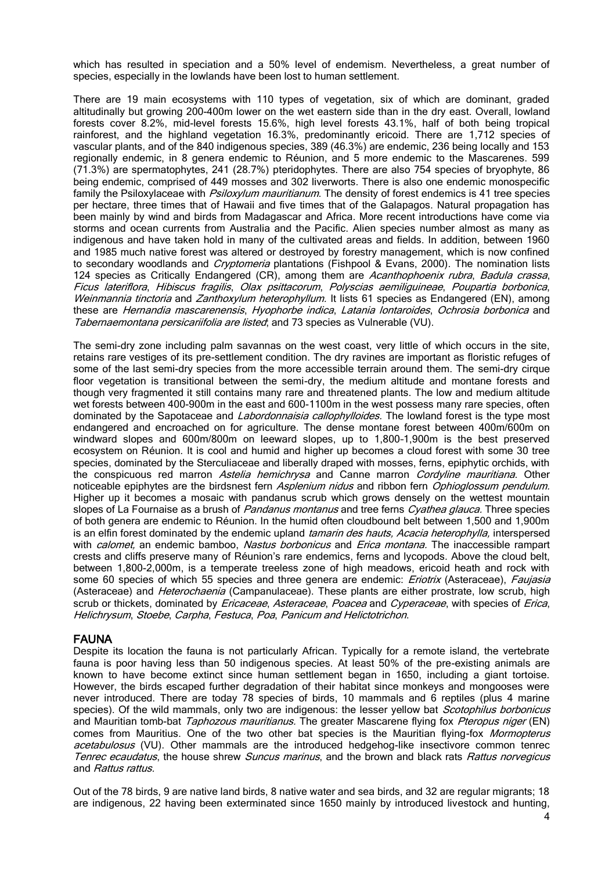which has resulted in speciation and a 50% level of endemism. Nevertheless, a great number of species, especially in the lowlands have been lost to human settlement.

There are 19 main ecosystems with 110 types of vegetation, six of which are dominant, graded altitudinally but growing 200-400m lower on the wet eastern side than in the dry east. Overall, lowland forests cover 8.2%, mid-level forests 15.6%, high level forests 43.1%, half of both being tropical rainforest, and the highland vegetation 16.3%, predominantly ericoid. There are 1,712 species of vascular plants, and of the 840 indigenous species, 389 (46.3%) are endemic, 236 being locally and 153 regionally endemic, in 8 genera endemic to Réunion, and 5 more endemic to the Mascarenes. 599 (71.3%) are spermatophytes, 241 (28.7%) pteridophytes. There are also 754 species of bryophyte, 86 being endemic, comprised of 449 mosses and 302 liverworts. There is also one endemic monospecific family the Psiloxylaceae with *Psiloxylum mauritianum*. The density of forest endemics is 41 tree species per hectare, three times that of Hawaii and five times that of the Galapagos. Natural propagation has been mainly by wind and birds from Madagascar and Africa. More recent introductions have come via storms and ocean currents from Australia and the Pacific. Alien species number almost as many as indigenous and have taken hold in many of the cultivated areas and fields. In addition, between 1960 and 1985 much native forest was altered or destroyed by forestry management, which is now confined to secondary woodlands and *Cryptomeria* plantations (Fishpool & Evans, 2000). The nomination lists 124 species as Critically Endangered (CR), among them are Acanthophoenix rubra, Badula crassa, Ficus lateriflora, Hibiscus fragilis, Olax psittacorum, Polyscias aemiliguineae, Poupartia borbonica, Weinmannia tinctoria and Zanthoxylum heterophyllum. It lists 61 species as Endangered (EN), among these are Hernandia mascarenensis, Hyophorbe indica, Latania lontaroides, Ochrosia borbonica and Tabernaemontana persicariifolia are listed; and 73 species as Vulnerable (VU).

The semi-dry zone including palm savannas on the west coast, very little of which occurs in the site, retains rare vestiges of its pre-settlement condition. The dry ravines are important as floristic refuges of some of the last semi-dry species from the more accessible terrain around them. The semi-dry cirque floor vegetation is transitional between the semi-dry, the medium altitude and montane forests and though very fragmented it still contains many rare and threatened plants. The low and medium altitude wet forests between 400-900m in the east and 600-1100m in the west possess many rare species, often dominated by the Sapotaceae and *Labordonnaisia callophylloides*. The lowland forest is the type most endangered and encroached on for agriculture. The dense montane forest between 400m/600m on windward slopes and 600m/800m on leeward slopes, up to 1,800–1,900m is the best preserved ecosystem on Réunion. It is cool and humid and higher up becomes a cloud forest with some 30 tree species, dominated by the Sterculiaceae and liberally draped with mosses, ferns, epiphytic orchids, with the conspicuous red marron Astelia hemichrysa and Canne marron Cordyline mauritiana. Other noticeable epiphytes are the birdsnest fern Asplenium nidus and ribbon fern Ophioglossum pendulum. Higher up it becomes a mosaic with pandanus scrub which grows densely on the wettest mountain slopes of La Fournaise as a brush of Pandanus montanus and tree ferns Cyathea glauca. Three species of both genera are endemic to Réunion. In the humid often cloudbound belt between 1,500 and 1,900m is an elfin forest dominated by the endemic upland *tamarin des hauts, Acacia heterophylla*, interspersed with *calomet*, an endemic bamboo, Nastus borbonicus and *Erica montana*. The inaccessible rampart crests and cliffs preserve many of Réunion's rare endemics, ferns and lycopods. Above the cloud belt, between 1,800-2,000m, is a temperate treeless zone of high meadows, ericoid heath and rock with some 60 species of which 55 species and three genera are endemic: *Eriotrix* (Asteraceae), *Faujasia* (Asteraceae) and *Heterochaenia* (Campanulaceae). These plants are either prostrate, low scrub, high scrub or thickets, dominated by *Ericaceae, Asteraceae, Poacea* and Cyperaceae, with species of Erica, Helichrysum, Stoebe, Carpha, Festuca, Poa, Panicum and Helictotrichon.

#### FAUNA

Despite its location the fauna is not particularly African. Typically for a remote island, the vertebrate fauna is poor having less than 50 indigenous species. At least 50% of the pre-existing animals are known to have become extinct since human settlement began in 1650, including a giant tortoise. However, the birds escaped further degradation of their habitat since monkeys and mongooses were never introduced. There are today 78 species of birds, 10 mammals and 6 reptiles (plus 4 marine species). Of the wild mammals, only two are indigenous: the lesser yellow bat *Scotophilus borbonicus* and Mauritian tomb-bat Taphozous mauritianus. The greater Mascarene flying fox Pteropus niger (EN) comes from Mauritius. One of the two other bat species is the Mauritian flying-fox Mormopterus acetabulosus (VU). Other mammals are the introduced hedgehog-like insectivore common tenrec Tenrec ecaudatus, the house shrew Suncus marinus, and the brown and black rats Rattus norvegicus and Rattus rattus.

Out of the 78 birds, 9 are native land birds, 8 native water and sea birds, and 32 are regular migrants; 18 are indigenous, 22 having been exterminated since 1650 mainly by introduced livestock and hunting,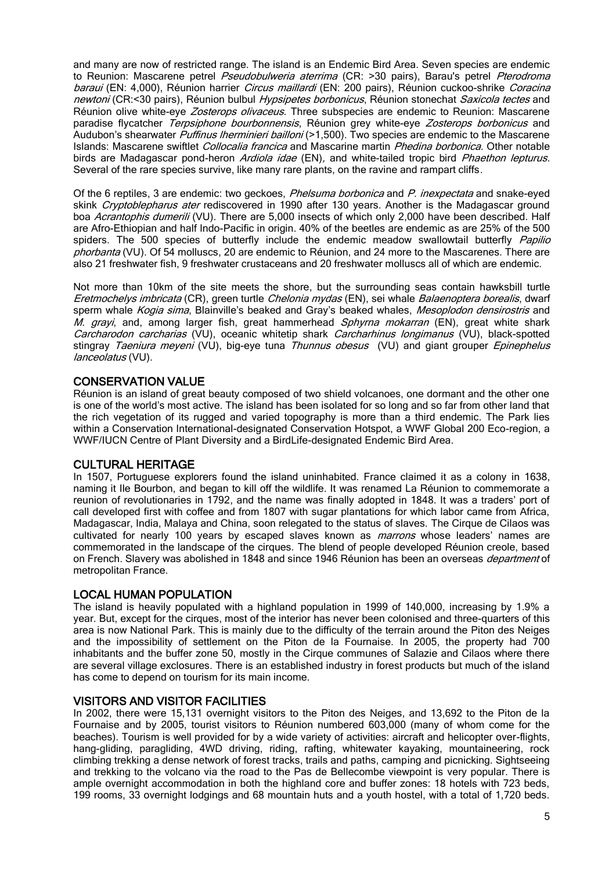and many are now of restricted range. The island is an Endemic Bird Area. Seven species are endemic to Reunion: Mascarene petrel *Pseudobulweria aterrima* (CR: >30 pairs), Barau's petrel *Pterodroma* baraui (EN: 4,000), Réunion harrier *Circus maillardi* (EN: 200 pairs), Réunion cuckoo-shrike *Coracina* newtoni (CR:<30 pairs), Réunion bulbul Hypsipetes borbonicus, Réunion stonechat Saxicola tectes and Réunion olive white-eye Zosterops olivaceus. Three subspecies are endemic to Reunion: Mascarene paradise flycatcher Terpsiphone bourbonnensis, Réunion grey white-eye Zosterops borbonicus and Audubon's shearwater *Puffinus Iherminieri bailloni* (>1,500). Two species are endemic to the Mascarene Islands: Mascarene swiftlet Collocalia francica and Mascarine martin Phedina borbonica. Other notable birds are Madagascar pond-heron Ardiola idae (EN), and white-tailed tropic bird Phaethon lepturus. Several of the rare species survive, like many rare plants, on the ravine and rampart cliffs.

Of the 6 reptiles, 3 are endemic: two geckoes, *Phelsuma borbonica* and *P. inexpectata* and snake-eyed skink Cryptoblepharus ater rediscovered in 1990 after 130 years. Another is the Madagascar ground boa Acrantophis dumerili (VU). There are 5,000 insects of which only 2,000 have been described. Half are Afro-Ethiopian and half Indo-Pacific in origin. 40% of the beetles are endemic as are 25% of the 500 spiders. The 500 species of butterfly include the endemic meadow swallowtail butterfly Papilio phorbanta (VU). Of 54 molluscs, 20 are endemic to Réunion, and 24 more to the Mascarenes. There are also 21 freshwater fish, 9 freshwater crustaceans and 20 freshwater molluscs all of which are endemic.

Not more than 10km of the site meets the shore, but the surrounding seas contain hawksbill turtle Eretmochelys imbricata (CR), green turtle Chelonia mydas (EN), sei whale Balaenoptera borealis, dwarf sperm whale Kogia sima, Blainville's beaked and Gray's beaked whales, Mesoplodon densirostris and M. grayi, and, among larger fish, great hammerhead Sphyrna mokarran (EN), great white shark Carcharodon carcharias (VU), oceanic whitetip shark Carcharhinus longimanus (VU), black-spotted stingray Taeniura meyeni (VU), big-eye tuna Thunnus obesus (VU) and giant grouper Epinephelus lanceolatus (VU).

## CONSERVATION VALUE

Réunion is an island of great beauty composed of two shield volcanoes, one dormant and the other one is one of the world's most active. The island has been isolated for so long and so far from other land that the rich vegetation of its rugged and varied topography is more than a third endemic. The Park lies within a Conservation International-designated Conservation Hotspot, a WWF Global 200 Eco-region, a WWF/IUCN Centre of Plant Diversity and a BirdLife-designated Endemic Bird Area.

## CULTURAL HERITAGE

In 1507, Portuguese explorers found the island uninhabited. France claimed it as a colony in 1638, naming it Ile Bourbon, and began to kill off the wildlife. It was renamed La Réunion to commemorate a reunion of revolutionaries in 1792, and the name was finally adopted in 1848. It was a traders' port of call developed first with coffee and from 1807 with sugar plantations for which labor came from Africa, Madagascar, India, Malaya and China, soon relegated to the status of slaves. The Cirque de Cilaos was cultivated for nearly 100 years by escaped slaves known as *marrons* whose leaders' names are commemorated in the landscape of the cirques. The blend of people developed Réunion creole, based on French. Slavery was abolished in 1848 and since 1946 Réunion has been an overseas *department* of metropolitan France.

## LOCAL HUMAN POPULATION

The island is heavily populated with a highland population in 1999 of 140,000, increasing by 1.9% a year. But, except for the cirques, most of the interior has never been colonised and three-quarters of this area is now National Park. This is mainly due to the difficulty of the terrain around the Piton des Neiges and the impossibility of settlement on the Piton de la Fournaise. In 2005, the property had 700 inhabitants and the buffer zone 50, mostly in the Cirque communes of Salazie and Cilaos where there are several village exclosures. There is an established industry in forest products but much of the island has come to depend on tourism for its main income.

## VISITORS AND VISITOR FACILITIES

In 2002, there were 15,131 overnight visitors to the Piton des Neiges, and 13,692 to the Piton de la Fournaise and by 2005, tourist visitors to Réunion numbered 603,000 (many of whom come for the beaches). Tourism is well provided for by a wide variety of activities: aircraft and helicopter over-flights, hang-gliding, paragliding, 4WD driving, riding, rafting, whitewater kayaking, mountaineering, rock climbing trekking a dense network of forest tracks, trails and paths, camping and picnicking. Sightseeing and trekking to the volcano via the road to the Pas de Bellecombe viewpoint is very popular. There is ample overnight accommodation in both the highland core and buffer zones: 18 hotels with 723 beds, 199 rooms, 33 overnight lodgings and 68 mountain huts and a youth hostel, with a total of 1,720 beds.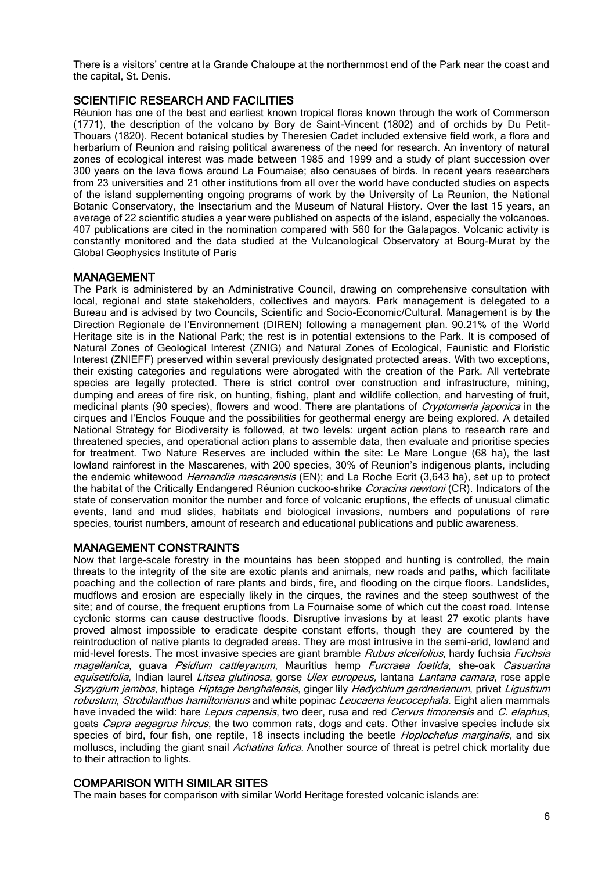There is a visitors' centre at la Grande Chaloupe at the northernmost end of the Park near the coast and the capital, St. Denis.

# SCIENTIFIC RESEARCH AND FACILITIES

Réunion has one of the best and earliest known tropical floras known through the work of Commerson (1771), the description of the volcano by Bory de Saint-Vincent (1802) and of orchids by Du Petit-Thouars (1820). Recent botanical studies by Theresien Cadet included extensive field work, a flora and herbarium of Reunion and raising political awareness of the need for research. An inventory of natural zones of ecological interest was made between 1985 and 1999 and a study of plant succession over 300 years on the lava flows around La Fournaise; also censuses of birds. In recent years researchers from 23 universities and 21 other institutions from all over the world have conducted studies on aspects of the island supplementing ongoing programs of work by the University of La Reunion, the National Botanic Conservatory, the Insectarium and the Museum of Natural History. Over the last 15 years, an average of 22 scientific studies a year were published on aspects of the island, especially the volcanoes. 407 publications are cited in the nomination compared with 560 for the Galapagos. Volcanic activity is constantly monitored and the data studied at the Vulcanological Observatory at Bourg-Murat by the Global Geophysics Institute of Paris

### MANAGEMENT

The Park is administered by an Administrative Council, drawing on comprehensive consultation with local, regional and state stakeholders, collectives and mayors. Park management is delegated to a Bureau and is advised by two Councils, Scientific and Socio-Economic/Cultural. Management is by the Direction Regionale de l'Environnement (DIREN) following a management plan. 90.21% of the World Heritage site is in the National Park; the rest is in potential extensions to the Park. It is composed of Natural Zones of Geological Interest (ZNIG) and Natural Zones of Ecological, Faunistic and Floristic Interest (ZNIEFF) preserved within several previously designated protected areas. With two exceptions, their existing categories and regulations were abrogated with the creation of the Park. All vertebrate species are legally protected. There is strict control over construction and infrastructure, mining, dumping and areas of fire risk, on hunting, fishing, plant and wildlife collection, and harvesting of fruit, medicinal plants (90 species), flowers and wood. There are plantations of *Cryptomeria japonica* in the cirques and l'Enclos Fouque and the possibilities for geothermal energy are being explored. A detailed National Strategy for Biodiversity is followed, at two levels: urgent action plans to research rare and threatened species, and operational action plans to assemble data, then evaluate and prioritise species for treatment. Two Nature Reserves are included within the site: Le Mare Longue (68 ha), the last lowland rainforest in the Mascarenes, with 200 species, 30% of Reunion's indigenous plants, including the endemic whitewood *Hernandia mascarensis* (EN); and La Roche Ecrit (3,643 ha), set up to protect the habitat of the Critically Endangered Réunion cuckoo-shrike Coracina newtoni (CR). Indicators of the state of conservation monitor the number and force of volcanic eruptions, the effects of unusual climatic events, land and mud slides, habitats and biological invasions, numbers and populations of rare species, tourist numbers, amount of research and educational publications and public awareness.

## MANAGEMENT CONSTRAINTS

Now that large-scale forestry in the mountains has been stopped and hunting is controlled, the main threats to the integrity of the site are exotic plants and animals, new roads and paths, which facilitate poaching and the collection of rare plants and birds, fire, and flooding on the cirque floors. Landslides, mudflows and erosion are especially likely in the cirques, the ravines and the steep southwest of the site; and of course, the frequent eruptions from La Fournaise some of which cut the coast road. Intense cyclonic storms can cause destructive floods. Disruptive invasions by at least 27 exotic plants have proved almost impossible to eradicate despite constant efforts, though they are countered by the reintroduction of native plants to degraded areas. They are most intrusive in the semi-arid, lowland and mid-level forests. The most invasive species are giant bramble *Rubus alceifolius*, hardy fuchsia *Fuchsia* magellanica, guava Psidium cattleyanum, Mauritius hemp Furcraea foetida, she-oak Casuarina equisetifolia, Indian laurel Litsea glutinosa, gorse Ulex europeus, lantana Lantana camara, rose apple Syzygium jambos, hiptage Hiptage benghalensis, ginger lily Hedychium gardnerianum, privet Ligustrum robustum, Strobilanthus hamiltonianus and white popinac Leucaena leucocephala. Eight alien mammals have invaded the wild: hare Lepus capensis, two deer, rusa and red Cervus timorensis and C. elaphus, goats Capra aegagrus hircus, the two common rats, dogs and cats. Other invasive species include six species of bird, four fish, one reptile, 18 insects including the beetle *Hoplochelus marginalis*, and six molluscs, including the giant snail Achatina fulica. Another source of threat is petrel chick mortality due to their attraction to lights.

#### COMPARISON WITH SIMILAR SITES

The main bases for comparison with similar World Heritage forested volcanic islands are: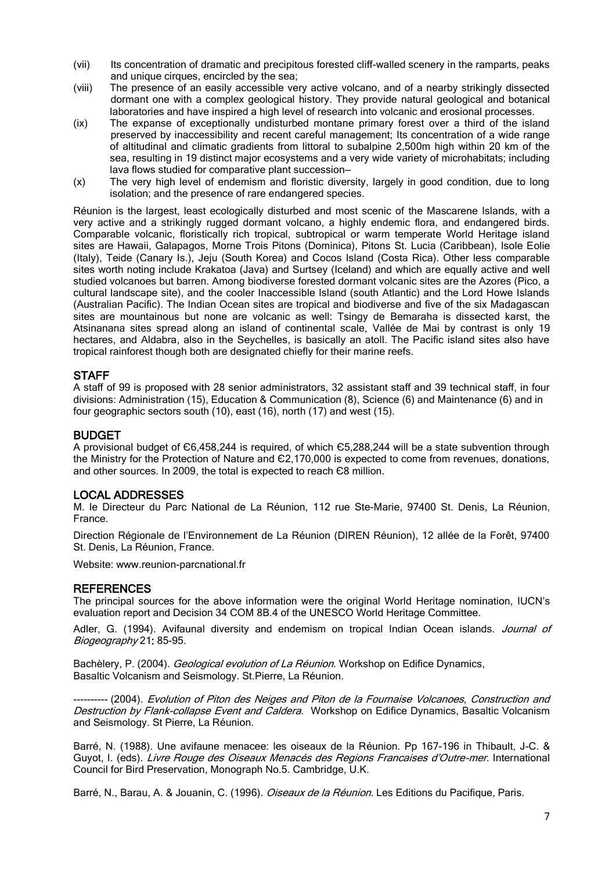- (vii) Its concentration of dramatic and precipitous forested cliff-walled scenery in the ramparts, peaks and unique cirques, encircled by the sea;
- (viii) The presence of an easily accessible very active volcano, and of a nearby strikingly dissected dormant one with a complex geological history. They provide natural geological and botanical laboratories and have inspired a high level of research into volcanic and erosional processes.
- (ix) The expanse of exceptionally undisturbed montane primary forest over a third of the island preserved by inaccessibility and recent careful management; Its concentration of a wide range of altitudinal and climatic gradients from littoral to subalpine 2,500m high within 20 km of the sea, resulting in 19 distinct major ecosystems and a very wide variety of microhabitats; including lava flows studied for comparative plant succession—
- (x) The very high level of endemism and floristic diversity, largely in good condition, due to long isolation; and the presence of rare endangered species.

Réunion is the largest, least ecologically disturbed and most scenic of the Mascarene Islands, with a very active and a strikingly rugged dormant volcano, a highly endemic flora, and endangered birds. Comparable volcanic, floristically rich tropical, subtropical or warm temperate World Heritage island sites are Hawaii, Galapagos, Morne Trois Pitons (Dominica), Pitons St. Lucia (Caribbean), Isole Eolie (Italy), Teide (Canary Is.), Jeju (South Korea) and Cocos Island (Costa Rica). Other less comparable sites worth noting include Krakatoa (Java) and Surtsey (Iceland) and which are equally active and well studied volcanoes but barren. Among biodiverse forested dormant volcanic sites are the Azores (Pico, a cultural landscape site), and the cooler Inaccessible Island (south Atlantic) and the Lord Howe Islands (Australian Pacific). The Indian Ocean sites are tropical and biodiverse and five of the six Madagascan sites are mountainous but none are volcanic as well: Tsingy de Bemaraha is dissected karst, the Atsinanana sites spread along an island of continental scale, Vallée de Mai by contrast is only 19 hectares, and Aldabra, also in the Seychelles, is basically an atoll. The Pacific island sites also have tropical rainforest though both are designated chiefly for their marine reefs.

## **STAFF**

A staff of 99 is proposed with 28 senior administrators, 32 assistant staff and 39 technical staff, in four divisions: Administration (15), Education & Communication (8), Science (6) and Maintenance (6) and in four geographic sectors south (10), east (16), north (17) and west (15).

#### BUDGET

A provisional budget of Є6,458,244 is required, of which Є5,288,244 will be a state subvention through the Ministry for the Protection of Nature and Є2,170,000 is expected to come from revenues, donations, and other sources. In 2009, the total is expected to reach Є8 million.

## LOCAL ADDRESSES

M. le Directeur du Parc National de La Réunion, 112 rue Ste-Marie, 97400 St. Denis, La Réunion, France.

Direction Régionale de l'Environnement de La Réunion (DIREN Réunion), 12 allée de la Forêt, 97400 St. Denis, La Réunion, France.

Website: [www.reunion-parcnational.fr](http://www.reunion-parcnational.f/)

#### **REFERENCES**

The principal sources for the above information were the original World Heritage nomination, IUCN's evaluation report and Decision 34 COM 8B.4 of the UNESCO World Heritage Committee.

Adler, G. (1994). Avifaunal diversity and endemism on tropical Indian Ocean islands. Journal of Biogeography 21: 85-95.

Bachèlery, P. (2004). Geological evolution of La Réunion. Workshop on Edifice Dynamics, Basaltic Volcanism and Seismology. St.Pierre, La Réunion.

-- (2004). Evolution of Piton des Neiges and Piton de la Fournaise Volcanoes, Construction and Destruction by Flank-collapse Event and Caldera. Workshop on Edifice Dynamics, Basaltic Volcanism and Seismology. St Pierre, La Réunion.

Barré, N. (1988). Une avifaune menacee: les oiseaux de la Réunion. Pp 167-196 in Thibault, J-C. & Guyot, I. (eds). Livre Rouge des Oiseaux Menacés des Regions Francaises d'Outre-mer. International Council for Bird Preservation, Monograph No.5. Cambridge, U.K.

Barré, N., Barau, A. & Jouanin, C. (1996). *Oiseaux de la Réunion*. Les Editions du Pacifique, Paris.